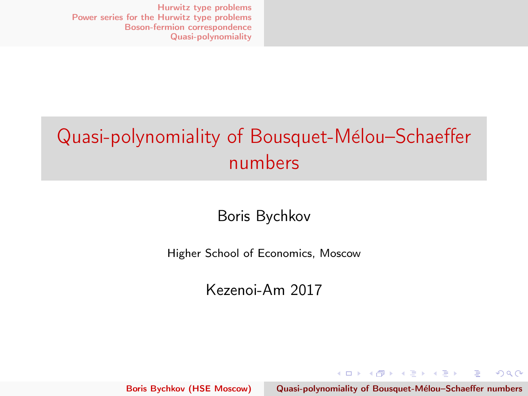## <span id="page-0-0"></span>Quasi-polynomiality of Bousquet-Mélou–Schaeffer numbers

Boris Bychkov

Higher School of Economics, Moscow

Kezenoi-Am 2017

Boris Bychkov (HSE Moscow) Quasi-polynomiality of Bousquet-Mélou–Schaeffer numbers

イロメ イ部メ イヨメ イヨメー

 $\equiv$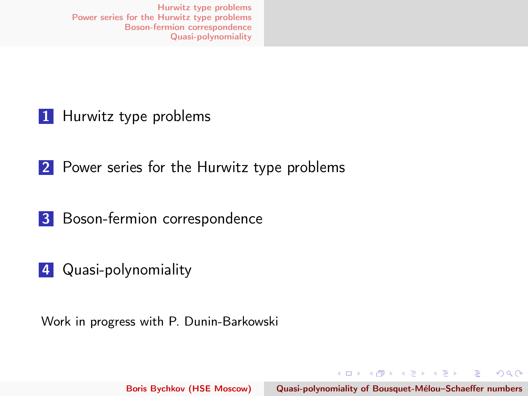1 [Hurwitz type problems](#page-2-0)

2 [Power series for the Hurwitz type problems](#page-5-0)

**3** [Boson-fermion correspondence](#page-15-0)

4 [Quasi-polynomiality](#page-23-0)

Work in progress with P. Dunin-Barkowski

イロメ マタメ マラメ マラメ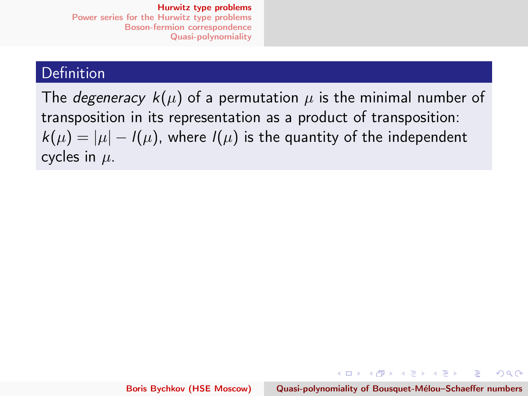### <span id="page-2-0"></span>Definition

The *degeneracy*  $k(\mu)$  of a permutation  $\mu$  is the minimal number of transposition in its representation as a product of transposition:  $k(\mu) = |\mu| - l(\mu)$ , where  $l(\mu)$  is the quantity of the independent cycles in  $\mu$ .

イロメ イ団メ イヨメ イヨメート

 $\equiv$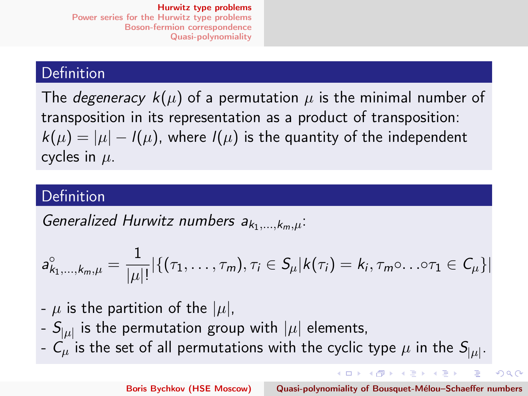### **Definition**

The *degeneracy*  $k(\mu)$  of a permutation  $\mu$  is the minimal number of transposition in its representation as a product of transposition:  $k(\mu) = |\mu| - l(\mu)$ , where  $l(\mu)$  is the quantity of the independent cycles in  $\mu$ .

### Definition

Generalized Hurwitz numbers  $a_{k_1,\ldots,k_m,u}$ .

$$
a_{k_1,...,k_m,\mu}^{\circ} = \frac{1}{|\mu|!} |\{(\tau_1,...,\tau_m), \tau_i \in S_{\mu}| k(\tau_i) = k_i, \tau_m \circ ... \circ \tau_1 \in C_{\mu}\}|
$$

- $\mu$  is the partition of the  $|\mu|$ ,
- $S_{|\mu|}$  is the permutation group with  $|\mu|$  elements,
- $\mathcal{C}_{\mu}$  is the set of all permutations with the cyclic type  $\mu$  in the  $\mathcal{S}_{|\mu|}.$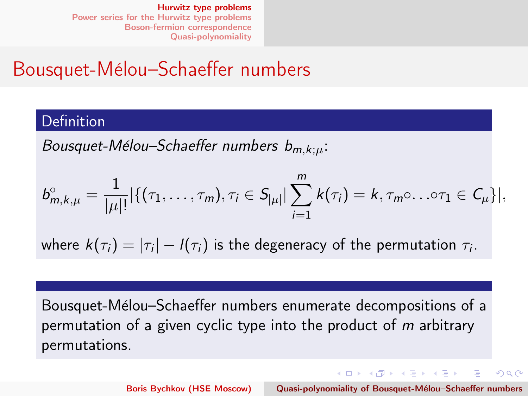### <span id="page-4-0"></span>Bousquet-Mélou–Schaeffer numbers

#### Definition

Bousquet-Mélou–Schaeffer numbers  $b_{m,k;ii}$ :

$$
b_{m,k,\mu}^{\circ} = \frac{1}{|\mu|!} |\{(\tau_1,\ldots,\tau_m), \tau_i \in S_{|\mu|} \mid \sum_{i=1}^m k(\tau_i) = k, \tau_m \circ \ldots \circ \tau_1 \in C_{\mu} \}|,
$$

where  $k(\tau_i) = |\tau_i| - l(\tau_i)$  is the degeneracy of the permutation  $\tau_i.$ 

Bousquet-Mélou–Schaeffer numbers enumerate decompositions of a permutation of a given cyclic type into the product of m arbitrary permutations.

Boris Bychkov (HSE Moscow) Quasi-polynomiality of Bousquet-Mélou–Schaeffer numbers

イロメ イ母 トラ ミュース チャー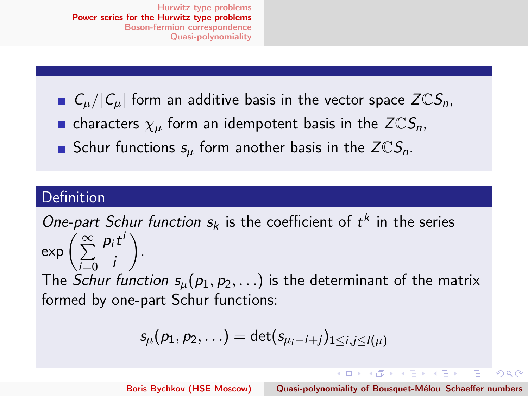<span id="page-5-0"></span> $C_{\mu}/|C_{\mu}|$  form an additive basis in the vector space  $Z\mathbb{C}S_n$ , **n** characters  $\chi_{\mu}$  form an idempotent basis in the  $Z \mathbb{C}S_n$ , Schur functions  $s_{\mu}$  form another basis in the  $Z \mathbb{C}S_n$ .

### Definition

One-part Schur function  $s_k$  is the coefficient of  $t^k$  in the series exp  $\left(\sum_{i=1}^{\infty}\right)$  $i=0$  $p_it^i$ i .

The Schur function  $s_{\mu}(p_1, p_2, \ldots)$  is the determinant of the matrix formed by one-part Schur functions:

$$
s_\mu(p_1,p_2,\ldots)=\det(s_{\mu_i-i+j})_{1\leq i,j\leq l(\mu)}
$$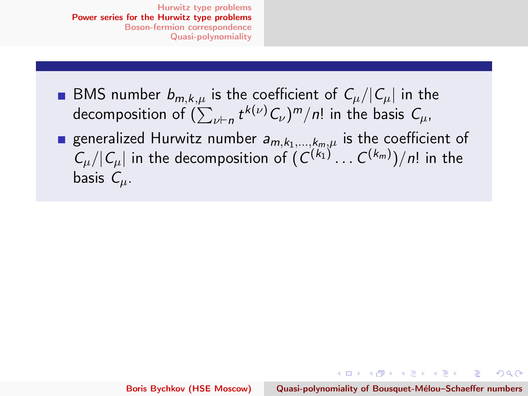**BMS** number  $b_{m,k,\mu}$  is the coefficient of  $C_{\mu}/|C_{\mu}|$  in the decomposition of  $(\sum_{\nu \vdash n} t^{k(\nu)} \mathcal{C}_{\nu})^{m}/n!$  in the basis  $\mathcal{C}_{\mu},$ generalized Hurwitz number  $a_{m,k_1,...,k_m,\mu}$  is the coefficient of  $|C_\mu| |C_\mu|$  in the decomposition of  $(C^{(k_1)} \dots C^{(k_m)})/n!$  in the basis  $C_{\mu}$ .

イロメ イ母メ イヨメ イヨメー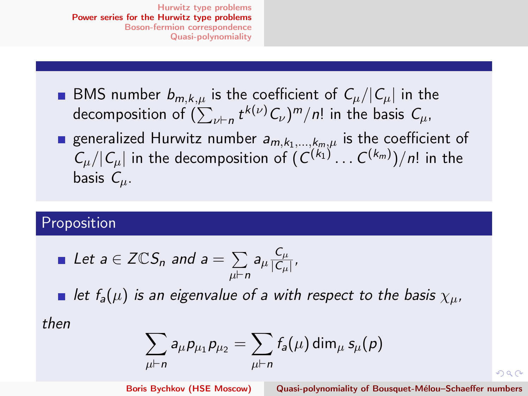- **BMS** number  $b_{m,k,\mu}$  is the coefficient of  $C_{\mu}/|C_{\mu}|$  in the decomposition of  $(\sum_{\nu \vdash n} t^{k(\nu)} \mathcal{C}_{\nu})^{m}/n!$  in the basis  $\mathcal{C}_{\mu},$
- generalized Hurwitz number  $a_{m,k_1,...,k_m,\mu}$  is the coefficient of  $|C_\mu| |C_\mu|$  in the decomposition of  $(C^{(k_1)} \dots C^{(k_m)})/n!$  in the basis  $C_{\mu}$ .

### Proposition

Let 
$$
a \in \mathsf{ZCS}_n
$$
 and  $a = \sum_{\mu \vdash n} a_{\mu} \frac{C_{\mu}}{|C_{\mu}|}$ ,

let  $f_a(\mu)$  is an eigenvalue of a with respect to the basis  $\chi_{\mu}$ ,

then

$$
\sum_{\mu \vdash n} a_\mu p_{\mu_1} p_{\mu_2} = \sum_{\mu \vdash n} f_a(\mu) \dim_\mu s_\mu(p)
$$

Boris Bychkov (HSE Moscow) Quasi-polynomiality of Bousquet-Mélou–Schaeffer numbers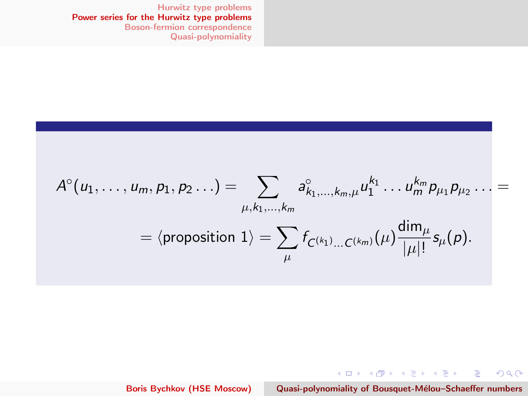<span id="page-8-0"></span>
$$
A^{\circ}(u_1,\ldots,u_m,p_1,p_2\ldots)=\sum_{\mu,k_1,\ldots,k_m}a^{\circ}_{k_1,\ldots,k_m,\mu}u_1^{k_1}\ldots u_m^{k_m}p_{\mu_1}p_{\mu_2}\ldots=\newline=\langle \text{proposition 1}\rangle=\sum_{\mu}f_{C^{(k_1)}\ldots C^{(k_m)}}(\mu)\frac{\dim_{\mu}}{|\mu|!}s_{\mu}(p).
$$

Boris Bychkov (HSE Moscow) Quasi-polynomiality of Bousquet-Mélou-Schaeffer numbers

メロト メタト メミト メミトリ ミー

 $QQ$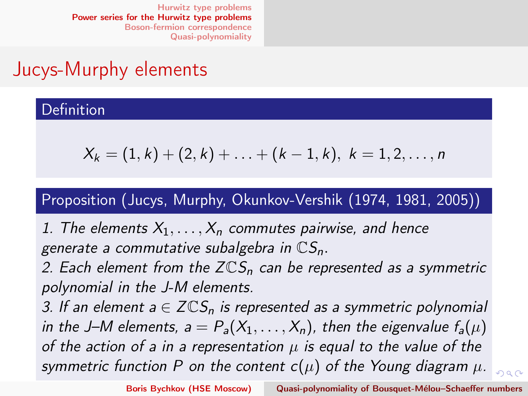### <span id="page-9-0"></span>Jucys-Murphy elements

### Definition

$$
X_k = (1, k) + (2, k) + \ldots + (k - 1, k), \ k = 1, 2, \ldots, n
$$

### Proposition (Jucys, Murphy, Okunkov-Vershik (1974, 1981, 2005))

1. The elements  $X_1, \ldots, X_n$  commutes pairwise, and hence generate a commutative subalgebra in  $\mathbb{C}S_n$ .

2. Each element from the  $Z\mathbb{C}S_n$  can be represented as a symmetric polynomial in the J-M elements.

3. If an element  $a \in \mathbb{ZCS}_n$  is represented as a symmetric polynomial in the J–M elements,  $a = P_a(X_1, \ldots, X_n)$ , then the eigenvalue  $f_a(\mu)$ of the action of a in a representation  $\mu$  is equal to the value of the symmetric function P on t[he](#page-10-0)content  $c(\mu)$  $c(\mu)$  $c(\mu)$  o[f t](#page-8-0)he [Yo](#page-9-0)u[ng](#page-4-0) [d](#page-14-0)[i](#page-15-0)[a](#page-14-0)[gr](#page-5-0)a[m](#page-0-0)  $\mu$ .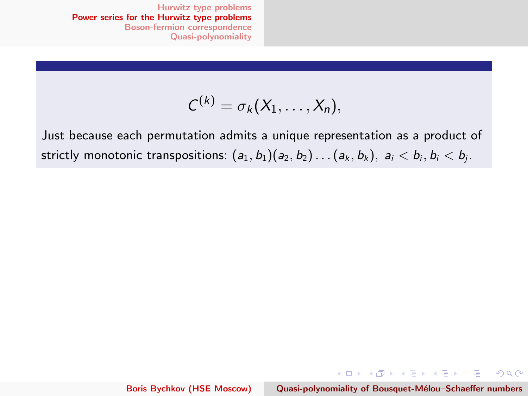$$
C^{(k)}=\sigma_k(X_1,\ldots,X_n),
$$

<span id="page-10-0"></span>Just because each permutation admits a unique representation as a product of strictly monotonic transpositions:  $(a_1, b_1)(a_2, b_2) \ldots (a_k, b_k)$ ,  $a_i < b_i$ ,  $b_i < b_i$ .

イロト イ団 トメ きょ メ きょう

重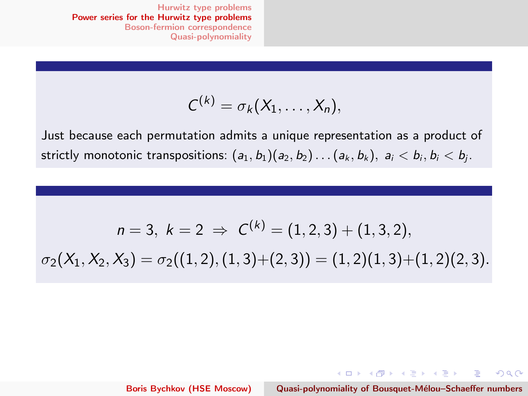$$
C^{(k)}=\sigma_k(X_1,\ldots,X_n),
$$

Just because each permutation admits a unique representation as a product of strictly monotonic transpositions:  $(a_1, b_1)(a_2, b_2) \ldots (a_k, b_k)$ ,  $a_i < b_i$ ,  $b_i < b_i$ .

$$
n = 3, k = 2 \Rightarrow C^{(k)} = (1, 2, 3) + (1, 3, 2),
$$
  

$$
\sigma_2(X_1, X_2, X_3) = \sigma_2((1, 2), (1, 3) + (2, 3)) = (1, 2)(1, 3) + (1, 2)(2, 3).
$$

Boris Bychkov (HSE Moscow) Quasi-polynomiality of Bousquet-Mélou–Schaeffer numbers

メロト メタト メミト メミト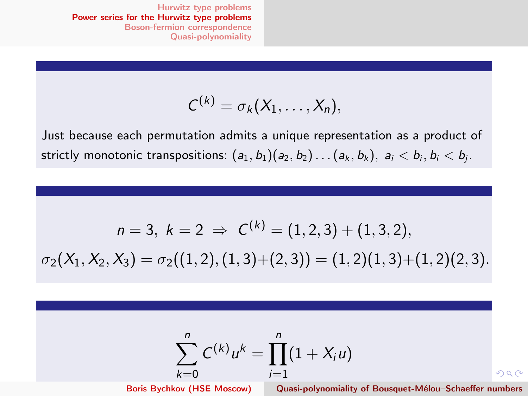$$
C^{(k)}=\sigma_k(X_1,\ldots,X_n),
$$

Just because each permutation admits a unique representation as a product of strictly monotonic transpositions:  $(a_1, b_1)(a_2, b_2) \ldots (a_k, b_k)$ ,  $a_i < b_i$ ,  $b_i < b_j$ .

$$
n = 3, k = 2 \Rightarrow C^{(k)} = (1, 2, 3) + (1, 3, 2),
$$
  

$$
\sigma_2(X_1, X_2, X_3) = \sigma_2((1, 2), (1, 3) + (2, 3)) = (1, 2)(1, 3) + (1, 2)(2, 3).
$$

$$
\sum_{k=0}^{n} C^{(k)} u^{k} = \prod_{i=1}^{n} (1 + X_{i} u)
$$

Boris Bychkov (HSE Moscow) Quasi-polynomiality of Bousquet-Mélou–Schaeffer numbers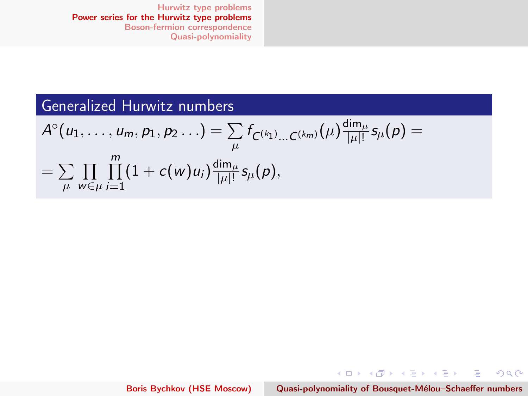### Generalized Hurwitz numbers

$$
A^{\circ}(u_1,\ldots,u_m,p_1,p_2\ldots)=\sum_{\mu}f_{C^{(k_1)}\ldots C^{(k_m)}}(\mu)\frac{\dim_{\mu}}{|\mu|!}s_{\mu}(p)=\\=\sum_{\mu}\prod_{w\in\mu}\prod_{i=1}^m(1+c(w)u_i)\frac{\dim_{\mu}}{|\mu|!}s_{\mu}(p),
$$

Boris Bychkov (HSE Moscow) Quasi-polynomiality of Bousquet-Mélou–Schaeffer numbers

メロト メ団 トメ 差 トメ 差 トー 差

 $298$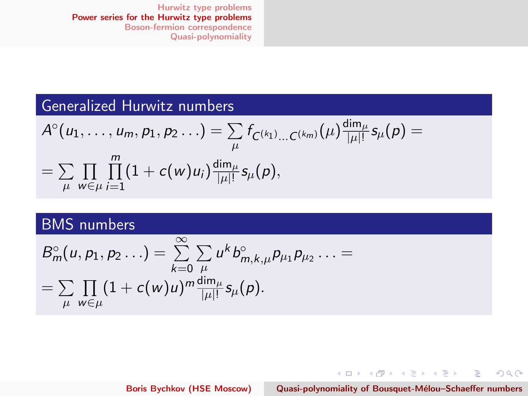### <span id="page-14-0"></span>Generalized Hurwitz numbers

$$
A^{\circ}(u_1,\ldots,u_m,p_1,p_2\ldots)=\sum_{\mu}f_{C^{(k_1)}\ldots C^{(k_m)}}(\mu)\frac{\dim_{\mu}}{|\mu|!}s_{\mu}(p)=\\=\sum_{\mu}\prod_{w\in\mu}\prod_{i=1}^m(1+c(w)u_i)\frac{\dim_{\mu}}{|\mu|!}s_{\mu}(p),
$$

### BMS numbers

$$
B_m^{\circ}(u, p_1, p_2 \ldots) = \sum_{k=0}^{\infty} \sum_{\mu} u^k b_{m,k,\mu}^{\circ} p_{\mu_1} p_{\mu_2} \ldots =
$$
  
= 
$$
\sum_{\mu} \prod_{w \in \mu} (1 + c(w)u)^m \frac{\dim_{\mu}}{|\mu|!} s_{\mu}(p).
$$

Boris Bychkov (HSE Moscow) Quasi-polynomiality of Bousquet-Mélou–Schaeffer numbers

メロメ メタメ メミメ メミメー

重

 $2Q$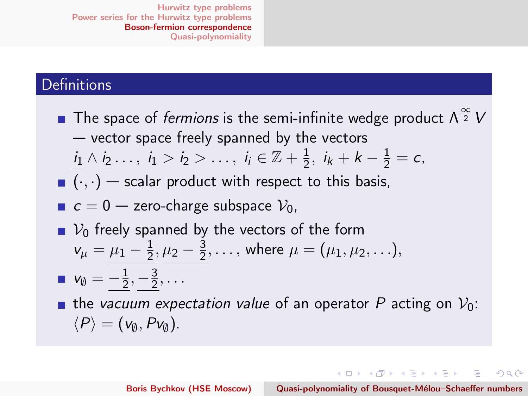### <span id="page-15-0"></span>**Definitions**

The space of *fermions* is the semi-infinite wedge product  $\Lambda^{\frac{\infty}{2}}$   $V$ — vector space freely spanned by the vectors  $i_1 \wedge i_2 \ldots, i_1 > i_2 > \ldots, i_i \in \mathbb{Z} + \frac{1}{2}$  $\frac{1}{2}$ ,  $i_k + k - \frac{1}{2} = c$ ,  $(\cdot, \cdot)$  – scalar product with respect to this basis,  $c = 0$  — zero-charge subspace  $V_0$ ,  $\blacksquare$   $V_0$  freely spanned by the vectors of the form  $v_{\mu} = \mu_1 - \frac{1}{2}$  $\frac{1}{2}, \mu_2 - \frac{3}{2}$  $\frac{3}{2}, \ldots$ , where  $\mu = (\mu_1, \mu_2, \ldots),$  $v_{\emptyset}=-\frac{1}{2}$  $\frac{1}{2}, -\frac{3}{2}$  $\frac{3}{2}, \ldots$ **the vacuum expectation value of an operator P acting on**  $V_0$ **:**  $\langle P \rangle = (v_{\emptyset}, Pv_{\emptyset}).$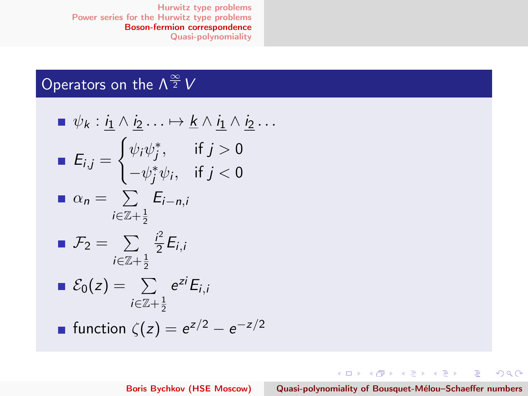### Operators on the  $\Lambda^{\frac{\infty}{2}}V$

\n- \n
$$
\psi_k : \underline{i_1} \wedge \underline{i_2} \dots \mapsto \underline{k} \wedge \underline{i_1} \wedge \underline{i_2} \dots
$$
\n
\n- \n
$$
E_{i,j} = \n \begin{cases}\n \psi_i \psi_j^*, & \text{if } j > 0 \\
 -\psi_j^* \psi_i, & \text{if } j < 0\n \end{cases}
$$
\n
\n- \n
$$
\alpha_n = \sum_{i \in \mathbb{Z} + \frac{1}{2}} E_{i-n,i}
$$
\n
\n- \n
$$
\mathcal{F}_2 = \sum_{i \in \mathbb{Z} + \frac{1}{2}} \frac{i^2}{2} E_{i,i}
$$
\n
\n- \n
$$
\mathcal{E}_0(z) = \sum_{i \in \mathbb{Z} + \frac{1}{2}} e^{zi} E_{i,i}
$$
\n
\n- \n
$$
\text{function } \zeta(z) = e^{z/2} - e^{-z/2}
$$
\n
\n

メロメ メタメ メミメ メミメン きっ

 $298$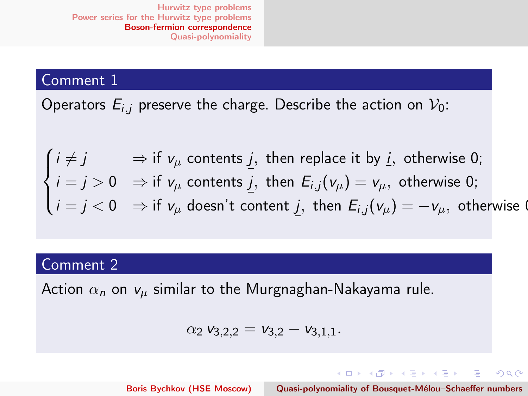#### Comment 1

Operators  $E_{i,j}$  preserve the charge. Describe the action on  $V_0$ :

$$
\begin{cases}\ni \neq j & \Rightarrow \text{ if } v_{\mu} \text{ contents } \underline{j}, \text{ then replace it by } \underline{i}, \text{ otherwise 0;} \\
i = j > 0 & \Rightarrow \text{ if } v_{\mu} \text{ contents } \underline{j}, \text{ then } E_{i,j}(v_{\mu}) = v_{\mu}, \text{ otherwise 0;} \\
i = j < 0 & \Rightarrow \text{ if } v_{\mu} \text{ doesn't content } \underline{j}, \text{ then } E_{i,j}(v_{\mu}) = -v_{\mu}, \text{ otherwise 0.}\n\end{cases}
$$

### Comment 2

Action  $\alpha_n$  on  $v_\mu$  similar to the Murgnaghan-Nakayama rule.

$$
\alpha_2 \mathbf{v}_{3,2,2} = \mathbf{v}_{3,2} - \mathbf{v}_{3,1,1}.
$$

Boris Bychkov (HSE Moscow) Quasi-polynomiality of Bousquet-Mélou–Schaeffer numbers

イロト イ団 トメ きょ メ きょう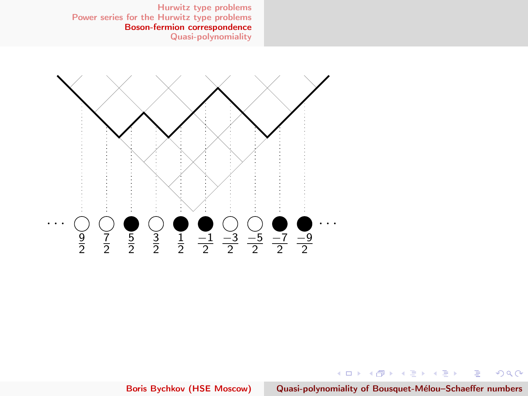

Boris Bychkov (HSE Moscow) Quasi-polynomiality of Bousquet-Mélou-Schaeffer numbers

メロメ メタメ メミメ メミメー

重

 $2Q$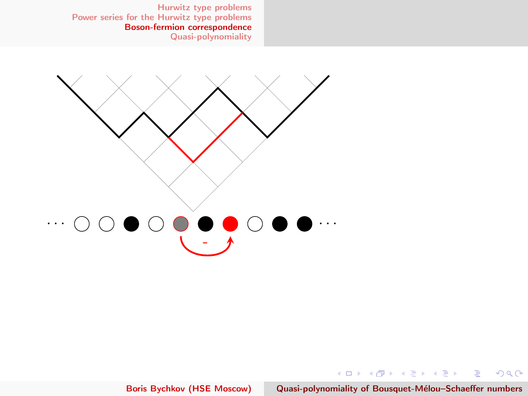

Boris Bychkov (HSE Moscow) Quasi-polynomiality of Bousquet-Mélou–Schaeffer numbers

メロメ メタメ メミメ メミメン 毛

 $298$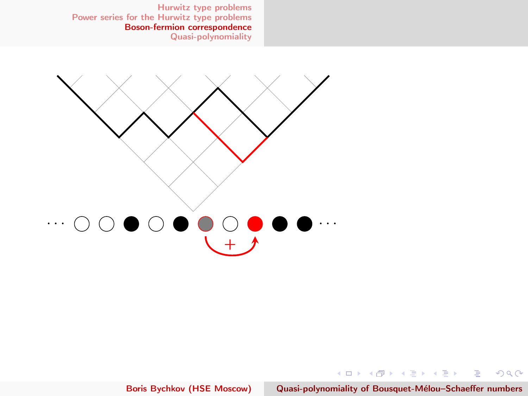

Boris Bychkov (HSE Moscow) Quasi-polynomiality of Bousquet-Mélou-Schaeffer numbers

メロメ メタメ メミメ メミメン 毛

 $298$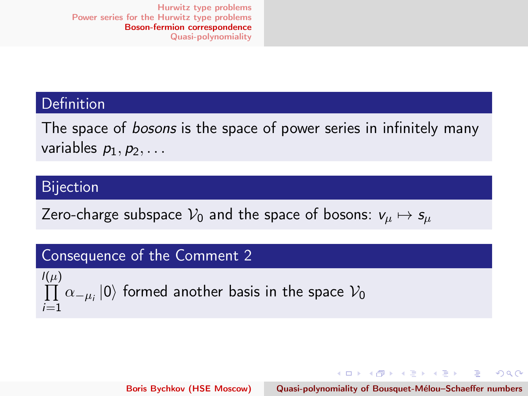### **Definition**

The space of *bosons* is the space of power series in infinitely many variables  $p_1, p_2, \ldots$ 

#### Bijection

Zero-charge subspace  $V_0$  and the space of bosons:  $v_{\mu} \mapsto s_{\mu}$ 

### Consequence of the Comment 2

 $l(\mu)$  $\prod\,\alpha_{-\mu_i}\left|0\right\rangle$  formed another basis in the space  $\mathcal{V}_0$  $i=1$ 

Boris Bychkov (HSE Moscow) Quasi-polynomiality of Bousquet-Mélou–Schaeffer numbers

イロメ イ母メ イヨメ イヨメー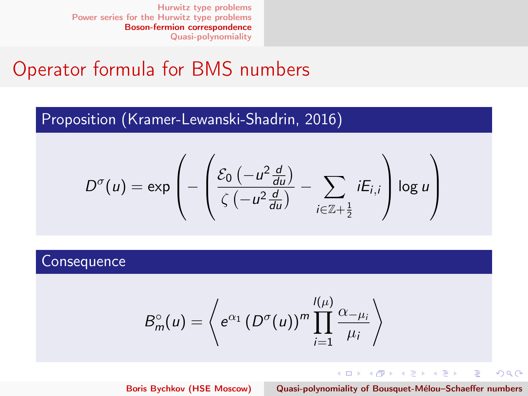### Operator formula for BMS numbers

### Proposition (Kramer-Lewanski-Shadrin, 2016)

$$
D^{\sigma}(u) = \exp\left(-\left(\frac{\mathcal{E}_0\left(-u^2\frac{d}{du}\right)}{\zeta\left(-u^2\frac{d}{du}\right)} - \sum_{i\in\mathbb{Z}+\frac{1}{2}}iE_{i,i}\right)\log u\right)
$$

#### **Consequence**

$$
B_m^{\circ}(u) = \left\langle e^{\alpha_1} \left( D^{\sigma}(u) \right)^m \prod_{i=1}^{l(\mu)} \frac{\alpha_{-\mu_i}}{\mu_i} \right\rangle
$$

**K ロ ▶ K 御 ▶ K 重 ▶ K 重 ▶** Boris Bychkov (HSE Moscow) Quasi-polynomiality of Bousquet-Mélou–Schaeffer numbers

重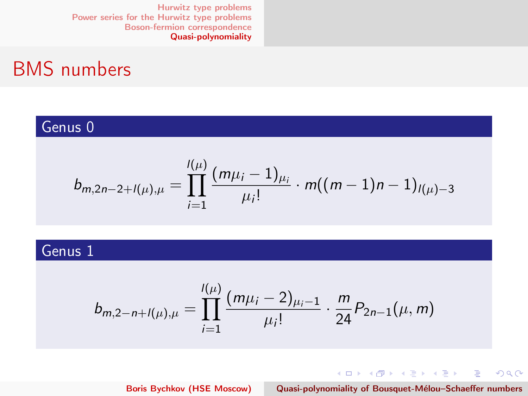### <span id="page-23-0"></span>BMS numbers

### Genus 0

$$
b_{m,2n-2+l(\mu),\mu} = \prod_{i=1}^{l(\mu)} \frac{(m\mu_i - 1)_{\mu_i}}{\mu_i!} \cdot m((m-1)n - 1)_{l(\mu)-3}
$$

### Genus 1

$$
b_{m,2-n+I(\mu),\mu} = \prod_{i=1}^{I(\mu)} \frac{(m\mu_i - 2)_{\mu_i - 1}}{\mu_i!} \cdot \frac{m}{24} P_{2n-1}(\mu, m)
$$

イロメ イ団メ イモメ イモメー Boris Bychkov (HSE Moscow) Quasi-polynomiality of Bousquet-Mélou–Schaeffer numbers

重

 $2Q$